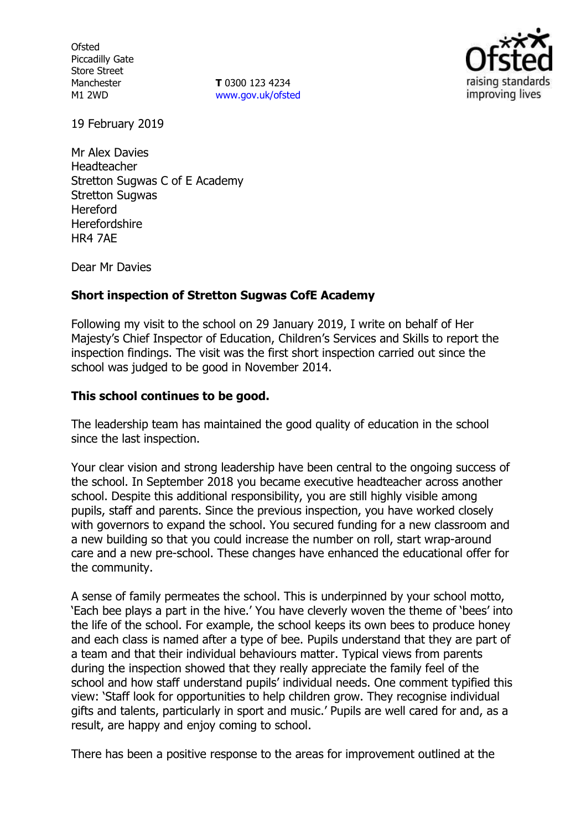**Ofsted** Piccadilly Gate Store Street Manchester M1 2WD

**T** 0300 123 4234 www.gov.uk/ofsted



19 February 2019

Mr Alex Davies Headteacher Stretton Sugwas C of E Academy Stretton Sugwas Hereford **Herefordshire** HR4 7AE

Dear Mr Davies

# **Short inspection of Stretton Sugwas CofE Academy**

Following my visit to the school on 29 January 2019, I write on behalf of Her Majesty's Chief Inspector of Education, Children's Services and Skills to report the inspection findings. The visit was the first short inspection carried out since the school was judged to be good in November 2014.

# **This school continues to be good.**

The leadership team has maintained the good quality of education in the school since the last inspection.

Your clear vision and strong leadership have been central to the ongoing success of the school. In September 2018 you became executive headteacher across another school. Despite this additional responsibility, you are still highly visible among pupils, staff and parents. Since the previous inspection, you have worked closely with governors to expand the school. You secured funding for a new classroom and a new building so that you could increase the number on roll, start wrap-around care and a new pre-school. These changes have enhanced the educational offer for the community.

A sense of family permeates the school. This is underpinned by your school motto, 'Each bee plays a part in the hive.' You have cleverly woven the theme of 'bees' into the life of the school. For example, the school keeps its own bees to produce honey and each class is named after a type of bee. Pupils understand that they are part of a team and that their individual behaviours matter. Typical views from parents during the inspection showed that they really appreciate the family feel of the school and how staff understand pupils' individual needs. One comment typified this view: 'Staff look for opportunities to help children grow. They recognise individual gifts and talents, particularly in sport and music.' Pupils are well cared for and, as a result, are happy and enjoy coming to school.

There has been a positive response to the areas for improvement outlined at the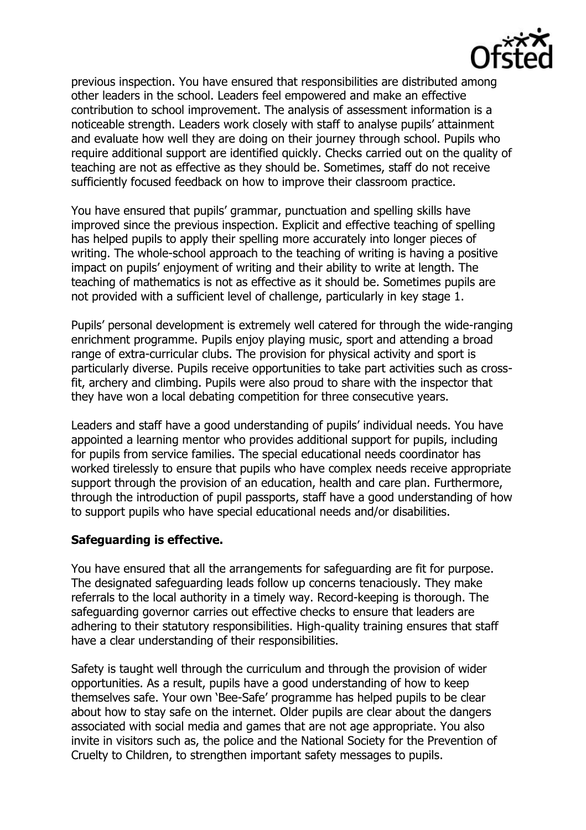

previous inspection. You have ensured that responsibilities are distributed among other leaders in the school. Leaders feel empowered and make an effective contribution to school improvement. The analysis of assessment information is a noticeable strength. Leaders work closely with staff to analyse pupils' attainment and evaluate how well they are doing on their journey through school. Pupils who require additional support are identified quickly. Checks carried out on the quality of teaching are not as effective as they should be. Sometimes, staff do not receive sufficiently focused feedback on how to improve their classroom practice.

You have ensured that pupils' grammar, punctuation and spelling skills have improved since the previous inspection. Explicit and effective teaching of spelling has helped pupils to apply their spelling more accurately into longer pieces of writing. The whole-school approach to the teaching of writing is having a positive impact on pupils' enjoyment of writing and their ability to write at length. The teaching of mathematics is not as effective as it should be. Sometimes pupils are not provided with a sufficient level of challenge, particularly in key stage 1.

Pupils' personal development is extremely well catered for through the wide-ranging enrichment programme. Pupils enjoy playing music, sport and attending a broad range of extra-curricular clubs. The provision for physical activity and sport is particularly diverse. Pupils receive opportunities to take part activities such as crossfit, archery and climbing. Pupils were also proud to share with the inspector that they have won a local debating competition for three consecutive years.

Leaders and staff have a good understanding of pupils' individual needs. You have appointed a learning mentor who provides additional support for pupils, including for pupils from service families. The special educational needs coordinator has worked tirelessly to ensure that pupils who have complex needs receive appropriate support through the provision of an education, health and care plan. Furthermore, through the introduction of pupil passports, staff have a good understanding of how to support pupils who have special educational needs and/or disabilities.

# **Safeguarding is effective.**

You have ensured that all the arrangements for safeguarding are fit for purpose. The designated safeguarding leads follow up concerns tenaciously. They make referrals to the local authority in a timely way. Record-keeping is thorough. The safeguarding governor carries out effective checks to ensure that leaders are adhering to their statutory responsibilities. High-quality training ensures that staff have a clear understanding of their responsibilities.

Safety is taught well through the curriculum and through the provision of wider opportunities. As a result, pupils have a good understanding of how to keep themselves safe. Your own 'Bee-Safe' programme has helped pupils to be clear about how to stay safe on the internet. Older pupils are clear about the dangers associated with social media and games that are not age appropriate. You also invite in visitors such as, the police and the National Society for the Prevention of Cruelty to Children, to strengthen important safety messages to pupils.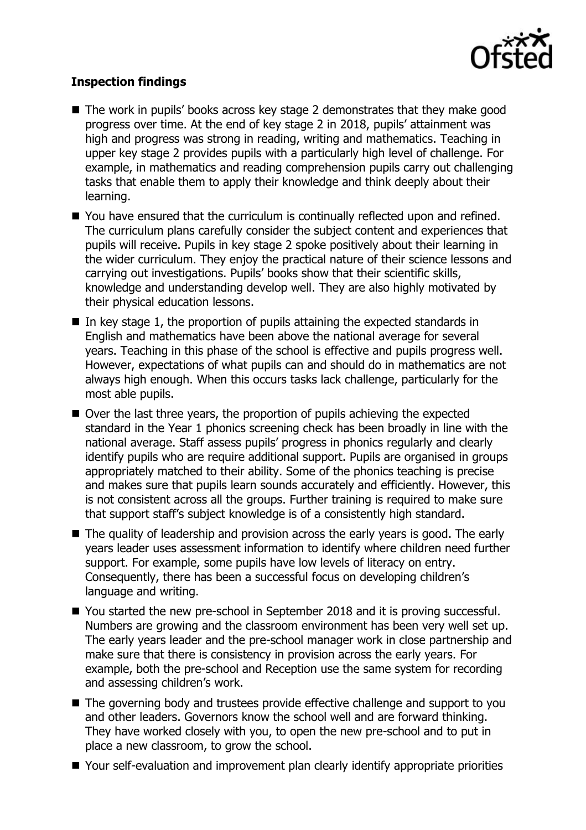

# **Inspection findings**

- The work in pupils' books across key stage 2 demonstrates that they make good progress over time. At the end of key stage 2 in 2018, pupils' attainment was high and progress was strong in reading, writing and mathematics. Teaching in upper key stage 2 provides pupils with a particularly high level of challenge. For example, in mathematics and reading comprehension pupils carry out challenging tasks that enable them to apply their knowledge and think deeply about their learning.
- You have ensured that the curriculum is continually reflected upon and refined. The curriculum plans carefully consider the subject content and experiences that pupils will receive. Pupils in key stage 2 spoke positively about their learning in the wider curriculum. They enjoy the practical nature of their science lessons and carrying out investigations. Pupils' books show that their scientific skills, knowledge and understanding develop well. They are also highly motivated by their physical education lessons.
- In key stage 1, the proportion of pupils attaining the expected standards in English and mathematics have been above the national average for several years. Teaching in this phase of the school is effective and pupils progress well. However, expectations of what pupils can and should do in mathematics are not always high enough. When this occurs tasks lack challenge, particularly for the most able pupils.
- Over the last three years, the proportion of pupils achieving the expected standard in the Year 1 phonics screening check has been broadly in line with the national average. Staff assess pupils' progress in phonics regularly and clearly identify pupils who are require additional support. Pupils are organised in groups appropriately matched to their ability. Some of the phonics teaching is precise and makes sure that pupils learn sounds accurately and efficiently. However, this is not consistent across all the groups. Further training is required to make sure that support staff's subject knowledge is of a consistently high standard.
- The quality of leadership and provision across the early years is good. The early years leader uses assessment information to identify where children need further support. For example, some pupils have low levels of literacy on entry. Consequently, there has been a successful focus on developing children's language and writing.
- You started the new pre-school in September 2018 and it is proving successful. Numbers are growing and the classroom environment has been very well set up. The early years leader and the pre-school manager work in close partnership and make sure that there is consistency in provision across the early years. For example, both the pre-school and Reception use the same system for recording and assessing children's work.
- The governing body and trustees provide effective challenge and support to you and other leaders. Governors know the school well and are forward thinking. They have worked closely with you, to open the new pre-school and to put in place a new classroom, to grow the school.
- Your self-evaluation and improvement plan clearly identify appropriate priorities